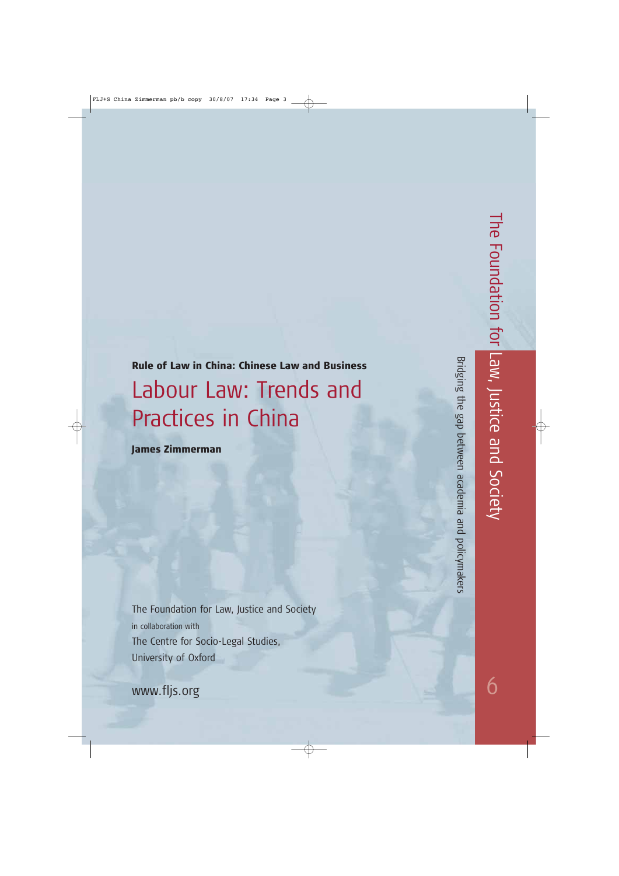Bridging the gap between academia and policymakers

Bridging the gap between academia and policymakers

# Rule of Law in China: Chinese Law and Business Labour Law: Trends and Practices in China

James Zimmerman

The Foundation for Law, Justice and Society in collaboration with The Centre for Socio-Legal Studies, University of Oxford

www.fljs.org

6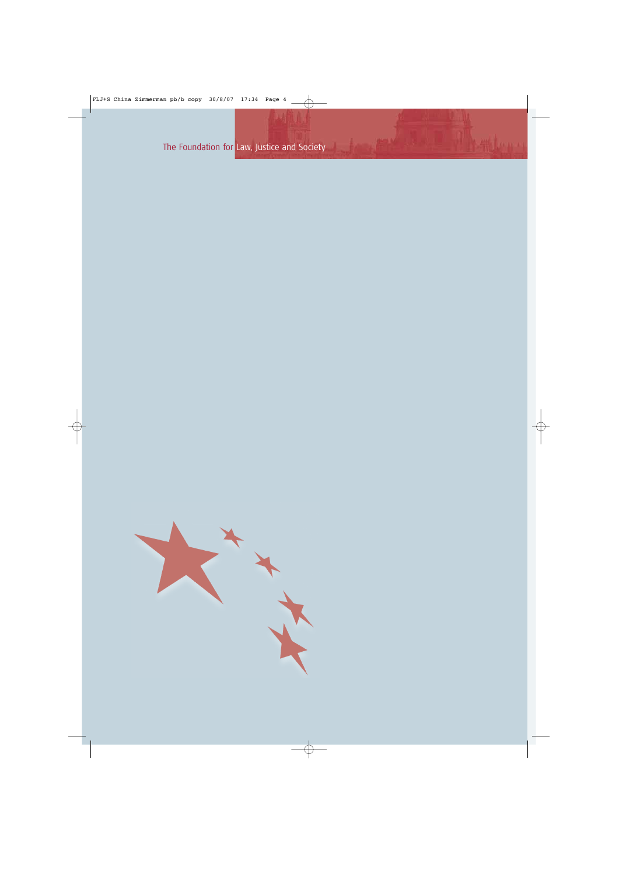Milleury

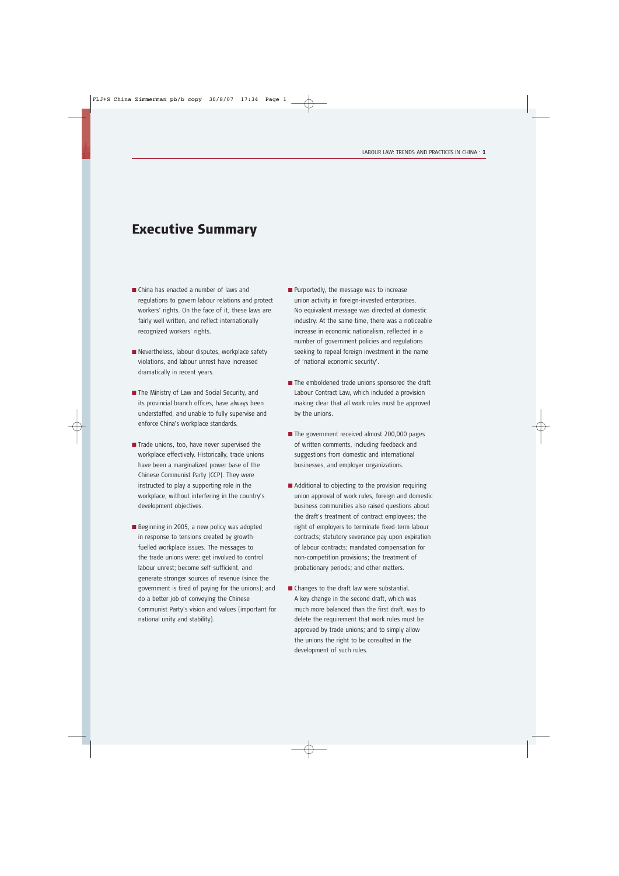# Executive Summary

- China has enacted a number of laws and regulations to govern labour relations and protect workers' rights. On the face of it, these laws are fairly well written, and reflect internationally recognized workers' rights.
- Nevertheless, labour disputes, workplace safety violations, and labour unrest have increased dramatically in recent years.
- The Ministry of Law and Social Security, and its provincial branch offices, have always been understaffed, and unable to fully supervise and enforce China's workplace standards.
- Trade unions, too, have never supervised the workplace effectively. Historically, trade unions have been a marginalized power base of the Chinese Communist Party (CCP). They were instructed to play a supporting role in the workplace, without interfering in the country's development objectives.
- Beginning in 2005, a new policy was adopted in response to tensions created by growthfuelled workplace issues. The messages to the trade unions were: get involved to control labour unrest; become self-sufficient, and generate stronger sources of revenue (since the government is tired of paying for the unions); and do a better job of conveying the Chinese Communist Party's vision and values (important for national unity and stability).
- Purportedly, the message was to increase union activity in foreign-invested enterprises. No equivalent message was directed at domestic industry. At the same time, there was a noticeable increase in economic nationalism, reflected in a number of government policies and regulations seeking to repeal foreign investment in the name of 'national economic security'.
- The emboldened trade unions sponsored the draft Labour Contract Law, which included a provision making clear that all work rules must be approved by the unions.
- The government received almost 200,000 pages of written comments, including feedback and suggestions from domestic and international businesses, and employer organizations.
- Additional to objecting to the provision requiring union approval of work rules, foreign and domestic business communities also raised questions about the draft's treatment of contract employees; the right of employers to terminate fixed-term labour contracts; statutory severance pay upon expiration of labour contracts; mandated compensation for non-competition provisions; the treatment of probationary periods; and other matters.
- Changes to the draft law were substantial. A key change in the second draft, which was much more balanced than the first draft, was to delete the requirement that work rules must be approved by trade unions; and to simply allow the unions the right to be consulted in the development of such rules.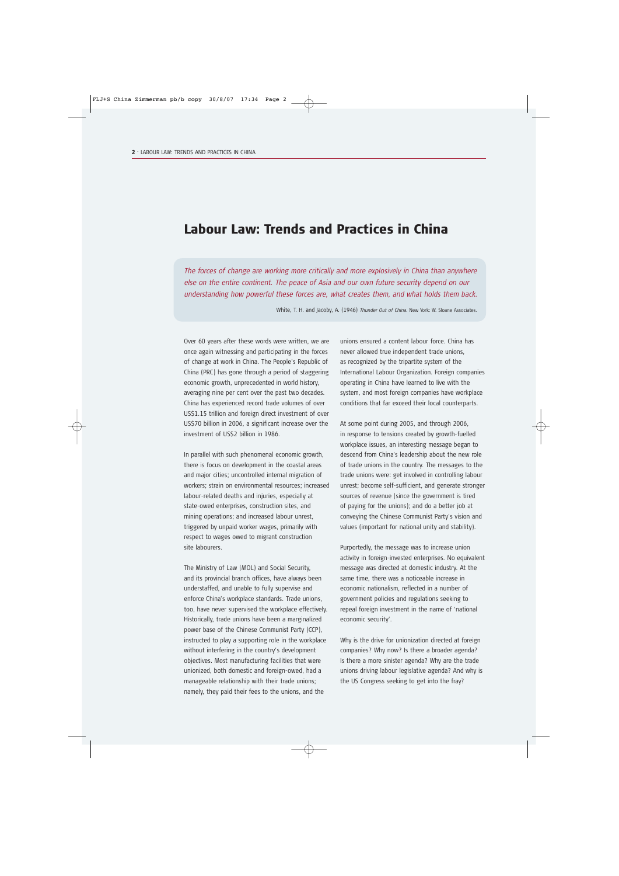# Labour Law: Trends and Practices in China

*The forces of change are working more critically and more explosively in China than anywhere else on the entire continent. The peace of Asia and our own future security depend on our understanding how powerful these forces are, what creates them, and what holds them back.*

White, T. H. and Jacoby, A. (1946) *Thunder Out of China*. New York: W. Sloane Associates.

Over 60 years after these words were written, we are once again witnessing and participating in the forces of change at work in China. The People's Republic of China (PRC) has gone through a period of staggering economic growth, unprecedented in world history, averaging nine per cent over the past two decades. China has experienced record trade volumes of over US\$1.15 trillion and foreign direct investment of over US\$70 billion in 2006, a significant increase over the investment of US\$2 billion in 1986.

In parallel with such phenomenal economic growth, there is focus on development in the coastal areas and major cities; uncontrolled internal migration of workers; strain on environmental resources; increased labour-related deaths and injuries, especially at state-owed enterprises, construction sites, and mining operations; and increased labour unrest, triggered by unpaid worker wages, primarily with respect to wages owed to migrant construction site labourers.

The Ministry of Law (MOL) and Social Security, and its provincial branch offices, have always been understaffed, and unable to fully supervise and enforce China's workplace standards. Trade unions, too, have never supervised the workplace effectively. Historically, trade unions have been a marginalized power base of the Chinese Communist Party (CCP), instructed to play a supporting role in the workplace without interfering in the country's development objectives. Most manufacturing facilities that were unionized, both domestic and foreign-owed, had a manageable relationship with their trade unions; namely, they paid their fees to the unions, and the

unions ensured a content labour force. China has never allowed true independent trade unions, as recognized by the tripartite system of the International Labour Organization. Foreign companies operating in China have learned to live with the system, and most foreign companies have workplace conditions that far exceed their local counterparts.

At some point during 2005, and through 2006, in response to tensions created by growth-fuelled workplace issues, an interesting message began to descend from China's leadership about the new role of trade unions in the country. The messages to the trade unions were: get involved in controlling labour unrest; become self-sufficient, and generate stronger sources of revenue (since the government is tired of paying for the unions); and do a better job at conveying the Chinese Communist Party's vision and values (important for national unity and stability).

Purportedly, the message was to increase union activity in foreign-invested enterprises. No equivalent message was directed at domestic industry. At the same time, there was a noticeable increase in economic nationalism, reflected in a number of government policies and regulations seeking to repeal foreign investment in the name of 'national economic security'.

Why is the drive for unionization directed at foreign companies? Why now? Is there a broader agenda? Is there a more sinister agenda? Why are the trade unions driving labour legislative agenda? And why is the US Congress seeking to get into the fray?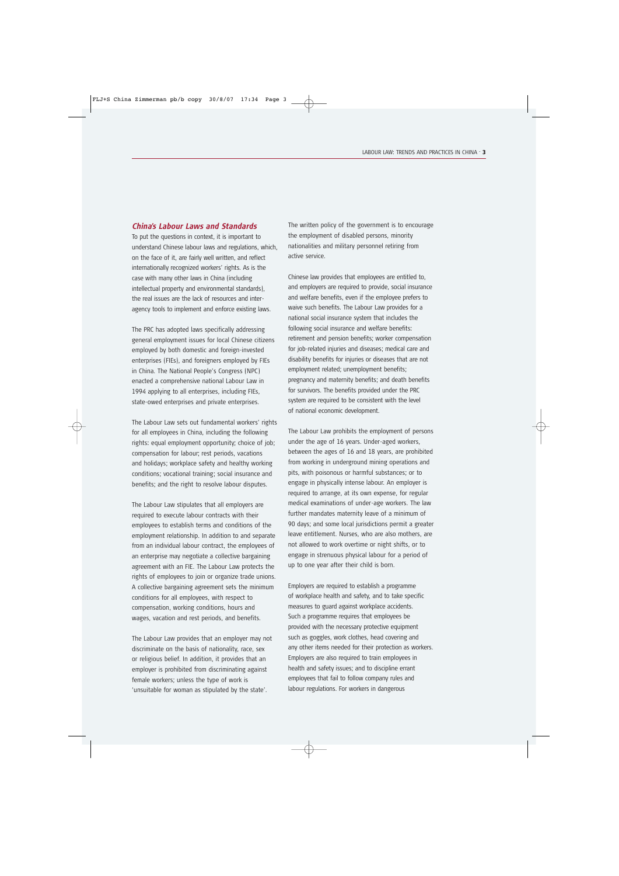#### *China's Labour Laws and Standards*

To put the questions in context, it is important to understand Chinese labour laws and regulations, which, on the face of it, are fairly well written, and reflect internationally recognized workers' rights. As is the case with many other laws in China (including intellectual property and environmental standards), the real issues are the lack of resources and interagency tools to implement and enforce existing laws.

The PRC has adopted laws specifically addressing general employment issues for local Chinese citizens employed by both domestic and foreign-invested enterprises (FIEs), and foreigners employed by FIEs in China. The National People's Congress (NPC) enacted a comprehensive national Labour Law in 1994 applying to all enterprises, including FIEs, state-owed enterprises and private enterprises.

The Labour Law sets out fundamental workers' rights for all employees in China, including the following rights: equal employment opportunity; choice of job; compensation for labour; rest periods, vacations and holidays; workplace safety and healthy working conditions; vocational training; social insurance and benefits; and the right to resolve labour disputes.

The Labour Law stipulates that all employers are required to execute labour contracts with their employees to establish terms and conditions of the employment relationship. In addition to and separate from an individual labour contract, the employees of an enterprise may negotiate a collective bargaining agreement with an FIE. The Labour Law protects the rights of employees to join or organize trade unions. A collective bargaining agreement sets the minimum conditions for all employees, with respect to compensation, working conditions, hours and wages, vacation and rest periods, and benefits.

The Labour Law provides that an employer may not discriminate on the basis of nationality, race, sex or religious belief. In addition, it provides that an employer is prohibited from discriminating against female workers; unless the type of work is 'unsuitable for woman as stipulated by the state'.

The written policy of the government is to encourage the employment of disabled persons, minority nationalities and military personnel retiring from active service.

Chinese law provides that employees are entitled to, and employers are required to provide, social insurance and welfare benefits, even if the employee prefers to waive such benefits. The Labour Law provides for a national social insurance system that includes the following social insurance and welfare benefits: retirement and pension benefits; worker compensation for job-related injuries and diseases; medical care and disability benefits for injuries or diseases that are not employment related; unemployment benefits; pregnancy and maternity benefits; and death benefits for survivors. The benefits provided under the PRC system are required to be consistent with the level of national economic development.

The Labour Law prohibits the employment of persons under the age of 16 years. Under-aged workers, between the ages of 16 and 18 years, are prohibited from working in underground mining operations and pits, with poisonous or harmful substances; or to engage in physically intense labour. An employer is required to arrange, at its own expense, for regular medical examinations of under-age workers. The law further mandates maternity leave of a minimum of 90 days; and some local jurisdictions permit a greater leave entitlement. Nurses, who are also mothers, are not allowed to work overtime or night shifts, or to engage in strenuous physical labour for a period of up to one year after their child is born.

Employers are required to establish a programme of workplace health and safety, and to take specific measures to guard against workplace accidents. Such a programme requires that employees be provided with the necessary protective equipment such as goggles, work clothes, head covering and any other items needed for their protection as workers. Employers are also required to train employees in health and safety issues; and to discipline errant employees that fail to follow company rules and labour regulations. For workers in dangerous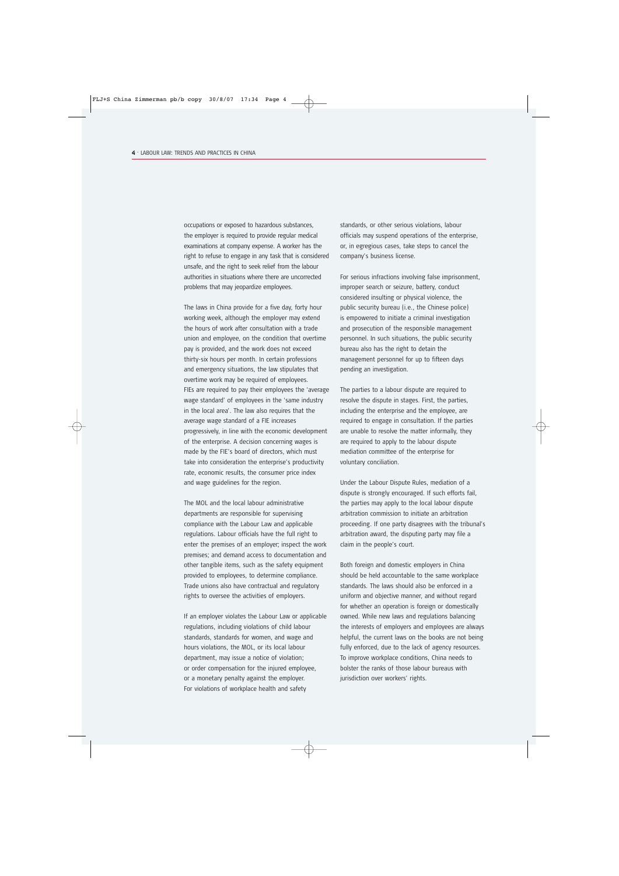occupations or exposed to hazardous substances, the employer is required to provide regular medical examinations at company expense. A worker has the right to refuse to engage in any task that is considered unsafe, and the right to seek relief from the labour authorities in situations where there are uncorrected problems that may jeopardize employees.

The laws in China provide for a five day, forty hour working week, although the employer may extend the hours of work after consultation with a trade union and employee, on the condition that overtime pay is provided, and the work does not exceed thirty-six hours per month. In certain professions and emergency situations, the law stipulates that overtime work may be required of employees. FIEs are required to pay their employees the 'average wage standard' of employees in the 'same industry in the local area'. The law also requires that the average wage standard of a FIE increases progressively, in line with the economic development of the enterprise. A decision concerning wages is made by the FIE's board of directors, which must take into consideration the enterprise's productivity rate, economic results, the consumer price index and wage guidelines for the region.

The MOL and the local labour administrative departments are responsible for supervising compliance with the Labour Law and applicable regulations. Labour officials have the full right to enter the premises of an employer; inspect the work premises; and demand access to documentation and other tangible items, such as the safety equipment provided to employees, to determine compliance. Trade unions also have contractual and regulatory rights to oversee the activities of employers.

If an employer violates the Labour Law or applicable regulations, including violations of child labour standards, standards for women, and wage and hours violations, the MOL, or its local labour department, may issue a notice of violation; or order compensation for the injured employee, or a monetary penalty against the employer. For violations of workplace health and safety

standards, or other serious violations, labour officials may suspend operations of the enterprise, or, in egregious cases, take steps to cancel the company's business license.

For serious infractions involving false imprisonment, improper search or seizure, battery, conduct considered insulting or physical violence, the public security bureau (i.e., the Chinese police) is empowered to initiate a criminal investigation and prosecution of the responsible management personnel. In such situations, the public security bureau also has the right to detain the management personnel for up to fifteen days pending an investigation.

The parties to a labour dispute are required to resolve the dispute in stages. First, the parties, including the enterprise and the employee, are required to engage in consultation. If the parties are unable to resolve the matter informally, they are required to apply to the labour dispute mediation committee of the enterprise for voluntary conciliation.

Under the Labour Dispute Rules, mediation of a dispute is strongly encouraged. If such efforts fail, the parties may apply to the local labour dispute arbitration commission to initiate an arbitration proceeding. If one party disagrees with the tribunal's arbitration award, the disputing party may file a claim in the people's court.

Both foreign and domestic employers in China should be held accountable to the same workplace standards. The laws should also be enforced in a uniform and objective manner, and without regard for whether an operation is foreign or domestically owned. While new laws and regulations balancing the interests of employers and employees are always helpful, the current laws on the books are not being fully enforced, due to the lack of agency resources. To improve workplace conditions, China needs to bolster the ranks of those labour bureaus with jurisdiction over workers' rights.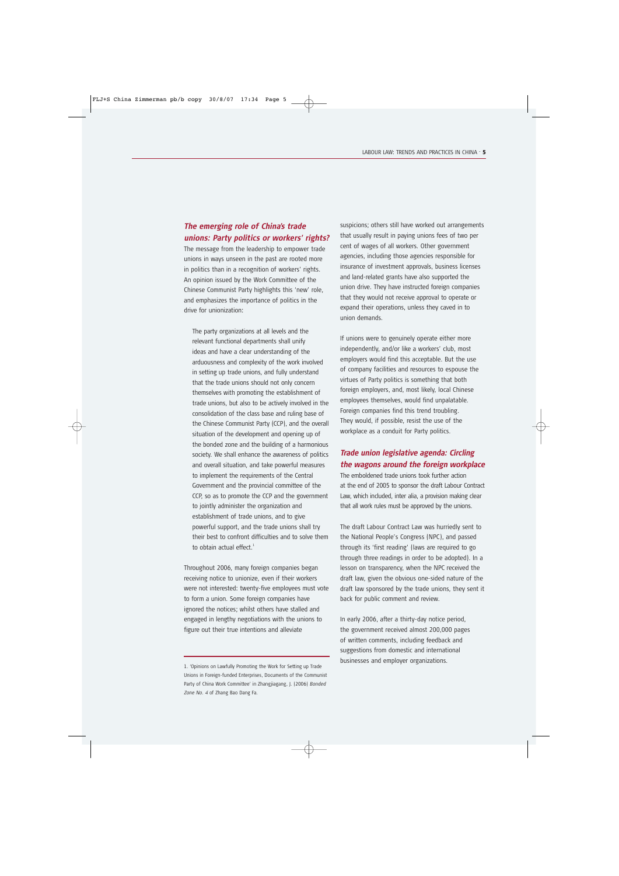#### *The emerging role of China's trade unions: Party politics or workers' rights?*

The message from the leadership to empower trade unions in ways unseen in the past are rooted more in politics than in a recognition of workers' rights. An opinion issued by the Work Committee of the Chinese Communist Party highlights this 'new' role, and emphasizes the importance of politics in the drive for unionization:

The party organizations at all levels and the relevant functional departments shall unify ideas and have a clear understanding of the arduousness and complexity of the work involved in setting up trade unions, and fully understand that the trade unions should not only concern themselves with promoting the establishment of trade unions, but also to be actively involved in the consolidation of the class base and ruling base of the Chinese Communist Party (CCP), and the overall situation of the development and opening up of the bonded zone and the building of a harmonious society. We shall enhance the awareness of politics and overall situation, and take powerful measures to implement the requirements of the Central Government and the provincial committee of the CCP, so as to promote the CCP and the government to jointly administer the organization and establishment of trade unions, and to give powerful support, and the trade unions shall try their best to confront difficulties and to solve them to obtain actual effect.<sup>1</sup>

Throughout 2006, many foreign companies began receiving notice to unionize, even if their workers were not interested: twenty-five employees must vote to form a union. Some foreign companies have ignored the notices; whilst others have stalled and engaged in lengthy negotiations with the unions to figure out their true intentions and alleviate

suspicions; others still have worked out arrangements that usually result in paying unions fees of two per cent of wages of all workers. Other government agencies, including those agencies responsible for insurance of investment approvals, business licenses and land-related grants have also supported the union drive. They have instructed foreign companies that they would not receive approval to operate or expand their operations, unless they caved in to union demands.

If unions were to genuinely operate either more independently, and/or like a workers' club, most employers would find this acceptable. But the use of company facilities and resources to espouse the virtues of Party politics is something that both foreign employers, and, most likely, local Chinese employees themselves, would find unpalatable. Foreign companies find this trend troubling. They would, if possible, resist the use of the workplace as a conduit for Party politics.

### *Trade union legislative agenda: Circling the wagons around the foreign workplace*

The emboldened trade unions took further action at the end of 2005 to sponsor the draft Labour Contract Law, which included, inter alia, a provision making clear that all work rules must be approved by the unions.

The draft Labour Contract Law was hurriedly sent to the National People's Congress (NPC), and passed through its 'first reading' (laws are required to go through three readings in order to be adopted). In a lesson on transparency, when the NPC received the draft law, given the obvious one-sided nature of the draft law sponsored by the trade unions, they sent it back for public comment and review.

In early 2006, after a thirty-day notice period, the government received almost 200,000 pages of written comments, including feedback and suggestions from domestic and international businesses and employer organizations. 1. 'Opinions on Lawfully Promoting the Work for Setting up Trade

Unions in Foreign-funded Enterprises, Documents of the Communist Party of China Work Committee' in Zhangjiagang, J. (2006) *Bonded Zone No. 4* of Zhang Bao Dang Fa.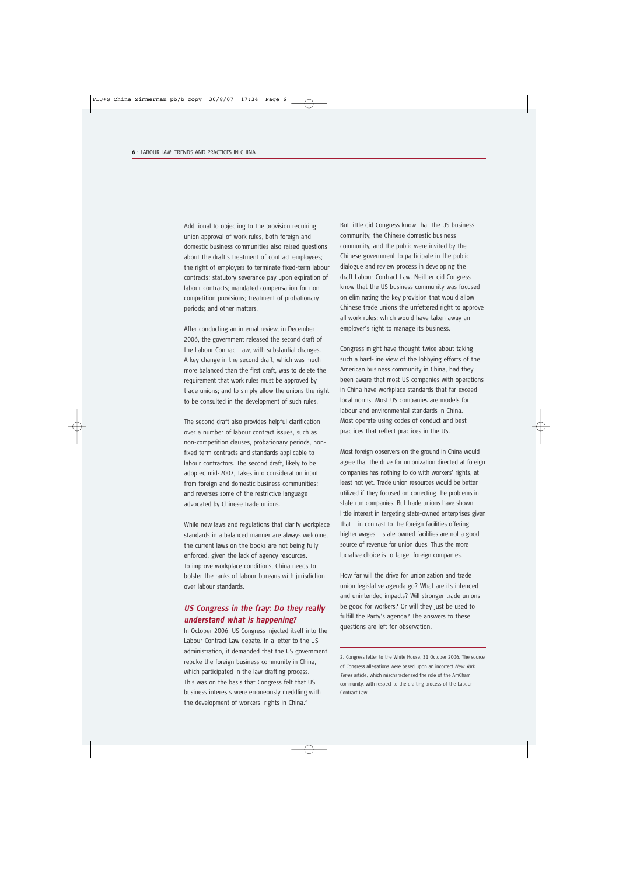Additional to objecting to the provision requiring union approval of work rules, both foreign and domestic business communities also raised questions about the draft's treatment of contract employees; the right of employers to terminate fixed-term labour contracts; statutory severance pay upon expiration of labour contracts; mandated compensation for noncompetition provisions; treatment of probationary periods; and other matters.

After conducting an internal review, in December 2006, the government released the second draft of the Labour Contract Law, with substantial changes. A key change in the second draft, which was much more balanced than the first draft, was to delete the requirement that work rules must be approved by trade unions; and to simply allow the unions the right to be consulted in the development of such rules.

The second draft also provides helpful clarification over a number of labour contract issues, such as non-competition clauses, probationary periods, nonfixed term contracts and standards applicable to labour contractors. The second draft, likely to be adopted mid-2007, takes into consideration input from foreign and domestic business communities; and reverses some of the restrictive language advocated by Chinese trade unions.

While new laws and regulations that clarify workplace standards in a balanced manner are always welcome, the current laws on the books are not being fully enforced, given the lack of agency resources. To improve workplace conditions, China needs to bolster the ranks of labour bureaus with jurisdiction over labour standards.

#### *US Congress in the fray: Do they really understand what is happening?*

In October 2006, US Congress injected itself into the Labour Contract Law debate. In a letter to the US administration, it demanded that the US government rebuke the foreign business community in China, which participated in the law-drafting process. This was on the basis that Congress felt that US business interests were erroneously meddling with the development of workers' rights in China.<sup>2</sup>

But little did Congress know that the US business community, the Chinese domestic business community, and the public were invited by the Chinese government to participate in the public dialogue and review process in developing the draft Labour Contract Law. Neither did Congress know that the US business community was focused on eliminating the key provision that would allow Chinese trade unions the unfettered right to approve all work rules; which would have taken away an employer's right to manage its business.

Congress might have thought twice about taking such a hard-line view of the lobbying efforts of the American business community in China, had they been aware that most US companies with operations in China have workplace standards that far exceed local norms. Most US companies are models for labour and environmental standards in China. Most operate using codes of conduct and best practices that reflect practices in the US.

Most foreign observers on the ground in China would agree that the drive for unionization directed at foreign companies has nothing to do with workers' rights, at least not yet. Trade union resources would be better utilized if they focused on correcting the problems in state-run companies. But trade unions have shown little interest in targeting state-owned enterprises given that – in contrast to the foreign facilities offering higher wages – state-owned facilities are not a good source of revenue for union dues. Thus the more lucrative choice is to target foreign companies.

How far will the drive for unionization and trade union legislative agenda go? What are its intended and unintended impacts? Will stronger trade unions be good for workers? Or will they just be used to fulfill the Party's agenda? The answers to these questions are left for observation.

<sup>2.</sup> Congress letter to the White House, 31 October 2006. The source of Congress allegations were based upon an incorrect *New York Times* article, which mischaracterized the role of the AmCham community, with respect to the drafting process of the Labour Contract Law.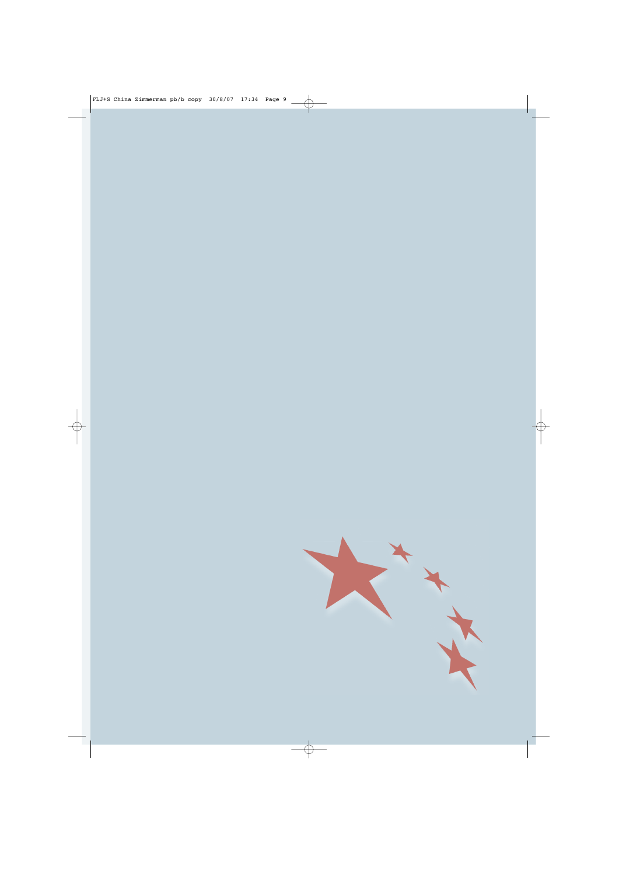